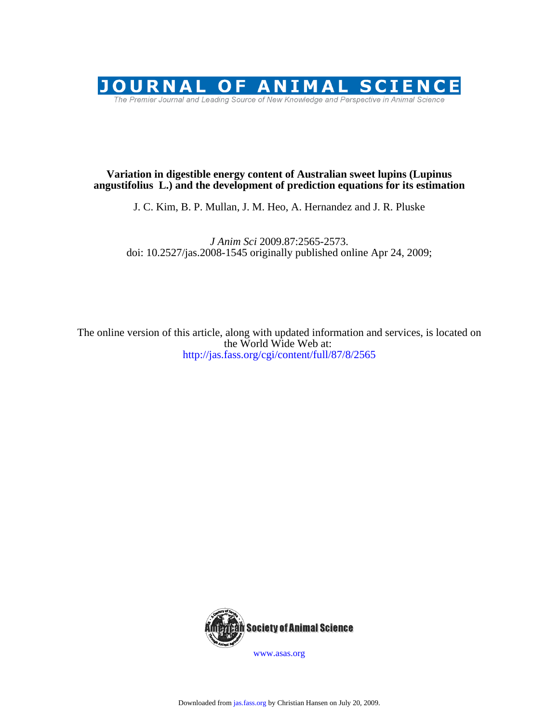

# **angustifolius L.) and the development of prediction equations for its estimation Variation in digestible energy content of Australian sweet lupins (Lupinus**

J. C. Kim, B. P. Mullan, J. M. Heo, A. Hernandez and J. R. Pluske

doi: 10.2527/jas.2008-1545 originally published online Apr 24, 2009; *J Anim Sci* 2009.87:2565-2573.

<http://jas.fass.org/cgi/content/full/87/8/2565> the World Wide Web at: The online version of this article, along with updated information and services, is located on



[www.asas.org](http://www.asas.org/)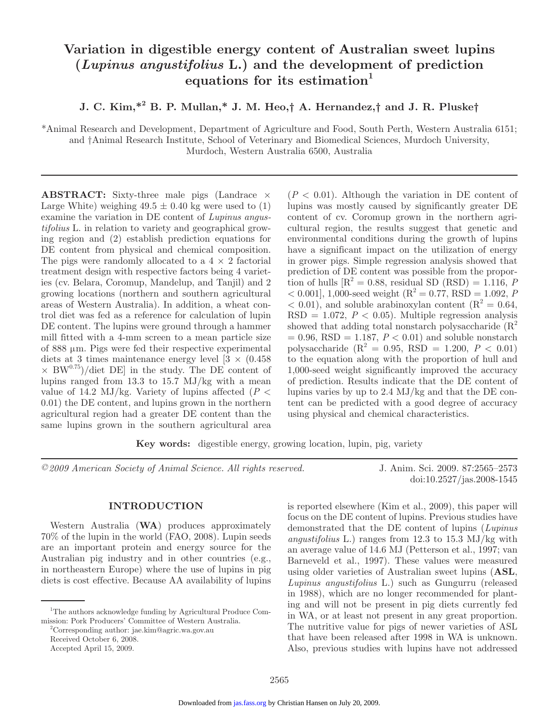# **Variation in digestible energy content of Australian sweet lupins (***Lupinus angustifolius* **L.) and the development of prediction**  equations for its estimation<sup>1</sup>

**J. C. Kim,\*2 B. P. Mullan,\* J. M. Heo,† A. Hernandez,† and J. R. Pluske†**

\*Animal Research and Development, Department of Agriculture and Food, South Perth, Western Australia 6151; and †Animal Research Institute, School of Veterinary and Biomedical Sciences, Murdoch University, Murdoch, Western Australia 6500, Australia

**ABSTRACT:** Sixty-three male pigs (Landrace × Large White) weighing  $49.5 \pm 0.40$  kg were used to (1) examine the variation in DE content of *Lupinus angustifolius* L. in relation to variety and geographical growing region and (2) establish prediction equations for DE content from physical and chemical composition. The pigs were randomly allocated to a  $4 \times 2$  factorial treatment design with respective factors being 4 varieties (cv. Belara, Coromup, Mandelup, and Tanjil) and 2 growing locations (northern and southern agricultural areas of Western Australia). In addition, a wheat control diet was fed as a reference for calculation of lupin DE content. The lupins were ground through a hammer mill fitted with a 4-mm screen to a mean particle size of 888 μm. Pigs were fed their respective experimental diets at 3 times maintenance energy level  $3 \times (0.458)$  $\times$  BW<sup>0.75</sup>)/diet DE] in the study. The DE content of lupins ranged from 13.3 to 15.7 MJ/kg with a mean value of 14.2 MJ/kg. Variety of lupins affected  $(P \leq$ 0.01) the DE content, and lupins grown in the northern agricultural region had a greater DE content than the same lupins grown in the southern agricultural area  $(P < 0.01)$ . Although the variation in DE content of lupins was mostly caused by significantly greater DE content of cv. Coromup grown in the northern agricultural region, the results suggest that genetic and environmental conditions during the growth of lupins have a significant impact on the utilization of energy in grower pigs. Simple regression analysis showed that prediction of DE content was possible from the proportion of hulls  $[R^2 = 0.88$ , residual SD  $(RSD) = 1.116, P$  $< 0.001$ , 1,000-seed weight (R<sup>2</sup> = 0.77, RSD = 1.092, *P*  $<$  0.01), and soluble arabinoxylan content (R<sup>2</sup> = 0.64,  $RSD = 1.072, P < 0.05$ . Multiple regression analysis showed that adding total nonstarch polysaccharide  $(R^2)$  $= 0.96$ , RSD  $= 1.187, P < 0.01$  and soluble nonstarch polysaccharide  $(R^2 = 0.95, RSD = 1.200, P < 0.01)$ to the equation along with the proportion of hull and 1,000-seed weight significantly improved the accuracy of prediction. Results indicate that the DE content of lupins varies by up to 2.4 MJ/kg and that the DE content can be predicted with a good degree of accuracy using physical and chemical characteristics.

**Key words:** digestible energy, growing location, lupin, pig, variety

*©2009 American Society of Animal Science. All rights reserved.* J. Anim. Sci. 2009. 87:2565–2573

doi:10.2527/jas.2008-1545

# **INTRODUCTION**

Western Australia (**WA**) produces approximately 70% of the lupin in the world (FAO, 2008). Lupin seeds are an important protein and energy source for the Australian pig industry and in other countries (e.g., in northeastern Europe) where the use of lupins in pig diets is cost effective. Because AA availability of lupins

2 Corresponding author: jae.kim@agric.wa.gov.au

Received October 6, 2008. Accepted April 15, 2009.

is reported elsewhere (Kim et al., 2009), this paper will focus on the DE content of lupins. Previous studies have demonstrated that the DE content of lupins (*Lupinus angustifolius* L.) ranges from 12.3 to 15.3 MJ/kg with an average value of 14.6 MJ (Petterson et al., 1997; van Barneveld et al., 1997). These values were measured using older varieties of Australian sweet lupins (**ASL**, *Lupinus angustifolius* L.) such as Gungurru (released in 1988), which are no longer recommended for planting and will not be present in pig diets currently fed in WA, or at least not present in any great proportion. The nutritive value for pigs of newer varieties of ASL that have been released after 1998 in WA is unknown. Also, previous studies with lupins have not addressed

<sup>&</sup>lt;sup>1</sup>The authors acknowledge funding by Agricultural Produce Commission: Pork Producers' Committee of Western Australia.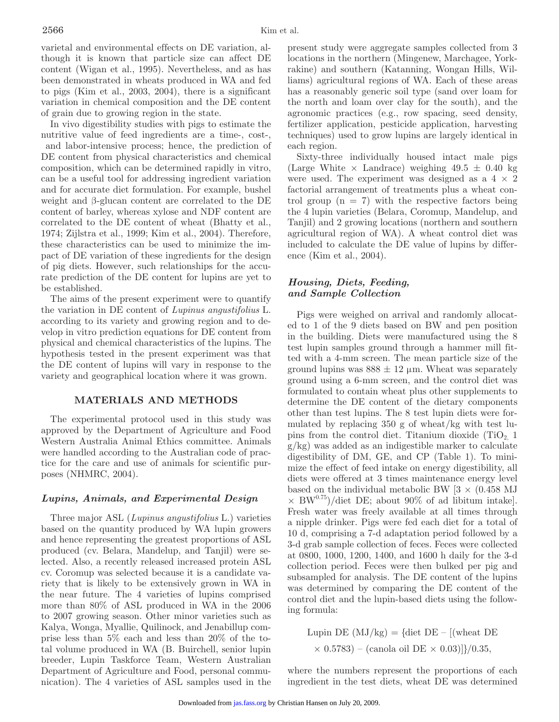varietal and environmental effects on DE variation, although it is known that particle size can affect DE content (Wigan et al., 1995). Nevertheless, and as has been demonstrated in wheats produced in WA and fed to pigs (Kim et al., 2003, 2004), there is a significant variation in chemical composition and the DE content of grain due to growing region in the state.

In vivo digestibility studies with pigs to estimate the nutritive value of feed ingredients are a time-, cost-, and labor-intensive process; hence, the prediction of DE content from physical characteristics and chemical composition, which can be determined rapidly in vitro, can be a useful tool for addressing ingredient variation and for accurate diet formulation. For example, bushel weight and β-glucan content are correlated to the DE content of barley, whereas xylose and NDF content are correlated to the DE content of wheat (Bhatty et al., 1974; Zijlstra et al., 1999; Kim et al., 2004). Therefore, these characteristics can be used to minimize the impact of DE variation of these ingredients for the design of pig diets. However, such relationships for the accurate prediction of the DE content for lupins are yet to be established.

The aims of the present experiment were to quantify the variation in DE content of *Lupinus angustifolius* L. according to its variety and growing region and to develop in vitro prediction equations for DE content from physical and chemical characteristics of the lupins. The hypothesis tested in the present experiment was that the DE content of lupins will vary in response to the variety and geographical location where it was grown.

# **MATERIALS AND METHODS**

The experimental protocol used in this study was approved by the Department of Agriculture and Food Western Australia Animal Ethics committee. Animals were handled according to the Australian code of practice for the care and use of animals for scientific purposes (NHMRC, 2004).

# *Lupins, Animals, and Experimental Design*

Three major ASL (*Lupinus angustifolius* L.) varieties based on the quantity produced by WA lupin growers and hence representing the greatest proportions of ASL produced (cv. Belara, Mandelup, and Tanjil) were selected. Also, a recently released increased protein ASL cv. Coromup was selected because it is a candidate variety that is likely to be extensively grown in WA in the near future. The 4 varieties of lupins comprised more than 80% of ASL produced in WA in the 2006 to 2007 growing season. Other minor varieties such as Kalya, Wonga, Myallie, Quilinock, and Jenabillup comprise less than 5% each and less than 20% of the total volume produced in WA (B. Buirchell, senior lupin breeder, Lupin Taskforce Team, Western Australian Department of Agriculture and Food, personal communication). The 4 varieties of ASL samples used in the present study were aggregate samples collected from 3 locations in the northern (Mingenew, Marchagee, Yorkrakine) and southern (Katanning, Wongan Hills, Williams) agricultural regions of WA. Each of these areas has a reasonably generic soil type (sand over loam for the north and loam over clay for the south), and the agronomic practices (e.g., row spacing, seed density, fertilizer application, pesticide application, harvesting techniques) used to grow lupins are largely identical in each region.

Sixty-three individually housed intact male pigs (Large White  $\times$  Landrace) weighing 49.5  $\pm$  0.40 kg were used. The experiment was designed as a  $4 \times 2$ factorial arrangement of treatments plus a wheat control group  $(n = 7)$  with the respective factors being the 4 lupin varieties (Belara, Coromup, Mandelup, and Tanjil) and 2 growing locations (northern and southern agricultural region of WA). A wheat control diet was included to calculate the DE value of lupins by difference (Kim et al., 2004).

# *Housing, Diets, Feeding, and Sample Collection*

Pigs were weighed on arrival and randomly allocated to 1 of the 9 diets based on BW and pen position in the building. Diets were manufactured using the 8 test lupin samples ground through a hammer mill fitted with a 4-mm screen. The mean particle size of the ground lupins was  $888 \pm 12 \,\mu m$ . Wheat was separately ground using a 6-mm screen, and the control diet was formulated to contain wheat plus other supplements to determine the DE content of the dietary components other than test lupins. The 8 test lupin diets were formulated by replacing 350 g of wheat/kg with test lupins from the control diet. Titanium dioxide (TiO<sub>2</sub> 1 g/kg) was added as an indigestible marker to calculate digestibility of DM, GE, and CP (Table 1). To minimize the effect of feed intake on energy digestibility, all diets were offered at 3 times maintenance energy level based on the individual metabolic BW  $[3 \times (0.458 \text{ MJ})]$  $\times$  BW<sup>0.75</sup>)/diet DE; about 90% of ad libitum intake]. Fresh water was freely available at all times through a nipple drinker. Pigs were fed each diet for a total of 10 d, comprising a 7-d adaptation period followed by a 3-d grab sample collection of feces. Feces were collected at 0800, 1000, 1200, 1400, and 1600 h daily for the 3-d collection period. Feces were then bulked per pig and subsampled for analysis. The DE content of the lupins was determined by comparing the DE content of the control diet and the lupin-based diets using the following formula:

Lupin DE  $(MJ/kg) = \{$ diet DE –  $\left[$ (wheat DE  $\times$  0.5783) – (canola oil DE  $\times$  0.03)] $\}/0.35$ ,

where the numbers represent the proportions of each ingredient in the test diets, wheat DE was determined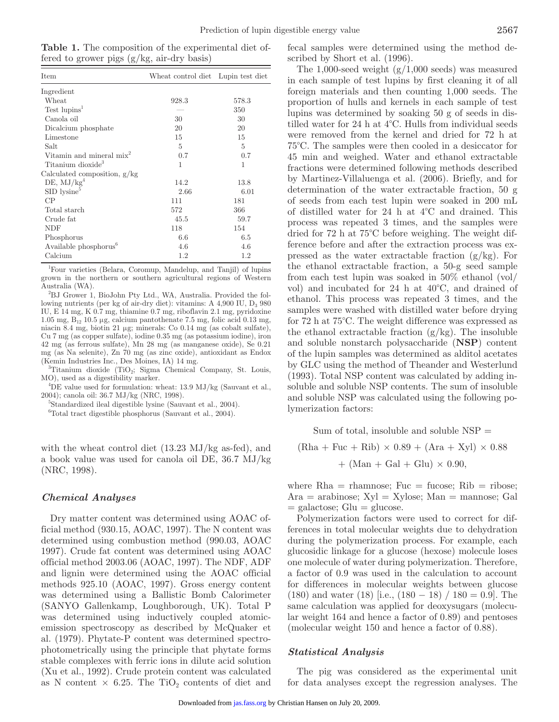**Table 1.** The composition of the experimental diet offered to grower pigs (g/kg, air-dry basis)

| Item                                 | Wheat control diet | Lupin test diet |
|--------------------------------------|--------------------|-----------------|
| Ingredient                           |                    |                 |
| Wheat                                | 928.3              | 578.3           |
| Test lupins <sup>1</sup>             |                    | 350             |
| Canola oil                           | 30                 | 30              |
| Dicalcium phosphate                  | 20                 | 20              |
| Limestone                            | 15                 | 15              |
| Salt                                 | 5                  | 5               |
| Vitamin and mineral mix <sup>2</sup> | 0.7                | 0.7             |
| Titanium dioxide <sup>3</sup>        | 1                  | 1               |
| Calculated composition, g/kg         |                    |                 |
| DE, $MJ/kg4$                         | 14.2               | 13.8            |
| $SID$ lysine <sup>5</sup>            | 2.66               | 6.01            |
| CP                                   | 111                | 181             |
| Total starch                         | 572                | 366             |
| Crude fat                            | 45.5               | 59.7            |
| NDF                                  | 118                | 154             |
| Phosphorus                           | 6.6                | 6.5             |
| Available phosphorus <sup>6</sup>    | 4.6                | 4.6             |
| Calcium                              | $1.2\,$            | 1.2             |

1 Four varieties (Belara, Coromup, Mandelup, and Tanjil) of lupins grown in the northern or southern agricultural regions of Western Australia (WA).

2 BJ Grower 1, BioJohn Pty Ltd., WA, Australia. Provided the following nutrients (per kg of air-dry diet): vitamins: A  $4,900$  IU,  $D_3$  980 IU, E 14 mg, K 0.7 mg, thiamine 0.7 mg, riboflavin 2.1 mg, pyridoxine 1.05 mg,  $B_{12}$  10.5 μg, calcium pantothenate 7.5 mg, folic acid 0.13 mg, niacin 8.4 mg, biotin 21 μg; minerals: Co 0.14 mg (as cobalt sulfate), Cu 7 mg (as copper sulfate), iodine 0.35 mg (as potassium iodine), iron 42 mg (as ferrous sulfate), Mn 28 mg (as manganese oxide), Se 0.21 mg (as Na selenite), Zn 70 mg (as zinc oxide), antioxidant as Endox (Kemin Industries Inc., Des Moines, IA) 14 mg.

<sup>3</sup>Titanium dioxide (TiO<sub>2</sub>; Sigma Chemical Company, St. Louis, MO), used as a digestibility marker.

<sup>4</sup>DE value used for formulation: wheat: 13.9 MJ/kg (Sauvant et al., 2004); canola oil: 36.7 MJ/kg (NRC, 1998).

5 Standardized ileal digestible lysine (Sauvant et al., 2004).

6 Total tract digestible phosphorus (Sauvant et al., 2004).

with the wheat control diet (13.23 MJ/kg as-fed), and a book value was used for canola oil DE, 36.7 MJ/kg (NRC, 1998).

#### *Chemical Analyses*

Dry matter content was determined using AOAC official method (930.15, AOAC, 1997). The N content was determined using combustion method (990.03, AOAC 1997). Crude fat content was determined using AOAC official method 2003.06 (AOAC, 1997). The NDF, ADF and lignin were determined using the AOAC official methods 925.10 (AOAC, 1997). Gross energy content was determined using a Ballistic Bomb Calorimeter (SANYO Gallenkamp, Loughborough, UK). Total P was determined using inductively coupled atomicemission spectroscopy as described by McQuaker et al. (1979). Phytate-P content was determined spectrophotometrically using the principle that phytate forms stable complexes with ferric ions in dilute acid solution (Xu et al., 1992). Crude protein content was calculated as N content  $\times$  6.25. The TiO<sub>2</sub> contents of diet and fecal samples were determined using the method described by Short et al. (1996).

The 1,000-seed weight  $(g/1,000 \text{ seeds})$  was measured in each sample of test lupins by first cleaning it of all foreign materials and then counting 1,000 seeds. The proportion of hulls and kernels in each sample of test lupins was determined by soaking 50 g of seeds in distilled water for 24 h at 4°C. Hulls from individual seeds were removed from the kernel and dried for 72 h at 75°C. The samples were then cooled in a desiccator for 45 min and weighed. Water and ethanol extractable fractions were determined following methods described by Martinez-Villaluenga et al. (2006). Briefly, and for determination of the water extractable fraction, 50 g of seeds from each test lupin were soaked in 200 mL of distilled water for 24 h at 4°C and drained. This process was repeated 3 times, and the samples were dried for 72 h at 75°C before weighing. The weight difference before and after the extraction process was expressed as the water extractable fraction  $(g/kg)$ . For the ethanol extractable fraction, a 50-g seed sample from each test lupin was soaked in 50% ethanol (vol/ vol) and incubated for 24 h at 40°C, and drained of ethanol. This process was repeated 3 times, and the samples were washed with distilled water before drying for 72 h at 75°C. The weight difference was expressed as the ethanol extractable fraction  $(g/kg)$ . The insoluble and soluble nonstarch polysaccharide (**NSP**) content of the lupin samples was determined as alditol acetates by GLC using the method of Theander and Westerlund (1993). Total NSP content was calculated by adding insoluble and soluble NSP contents. The sum of insoluble and soluble NSP was calculated using the following polymerization factors:

Sum of total, insoluble and soluble  $NSP =$ 

 $(Rha + Fuc + Rib) \times 0.89 + (Ara + Xyl) \times 0.88$  $+$  (Man + Gal + Glu)  $\times$  0.90,

where  $Rha = rhammose$ ; Fuc = fucose;  $Rib = ribose$ ;  $Area = arabinose; Xyl = Xylose; Man = mannose; Gal$  $=$  galactose; Glu  $=$  glucose.

Polymerization factors were used to correct for differences in total molecular weights due to dehydration during the polymerization process. For example, each glucosidic linkage for a glucose (hexose) molecule loses one molecule of water during polymerization. Therefore, a factor of 0.9 was used in the calculation to account for differences in molecular weights between glucose (180) and water (18) [i.e.,  $(180 - 18) / 180 = 0.9$ ]. The same calculation was applied for deoxysugars (molecular weight 164 and hence a factor of 0.89) and pentoses (molecular weight 150 and hence a factor of 0.88).

#### *Statistical Analysis*

The pig was considered as the experimental unit for data analyses except the regression analyses. The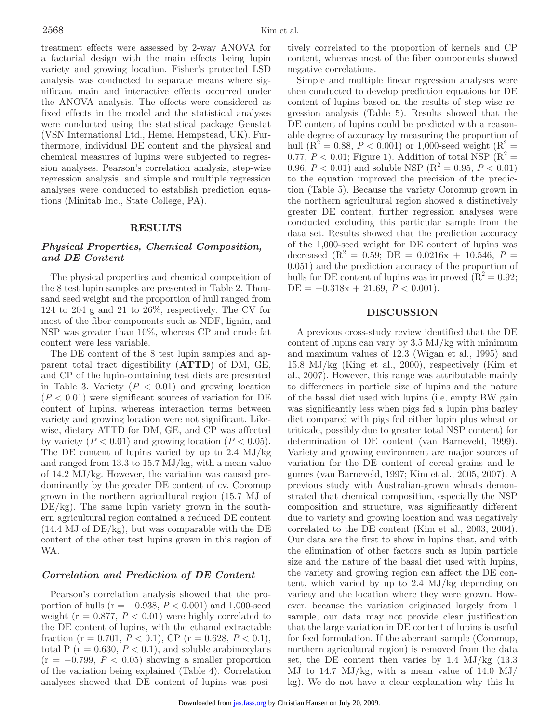treatment effects were assessed by 2-way ANOVA for a factorial design with the main effects being lupin variety and growing location. Fisher's protected LSD analysis was conducted to separate means where significant main and interactive effects occurred under the ANOVA analysis. The effects were considered as fixed effects in the model and the statistical analyses were conducted using the statistical package Genstat (VSN International Ltd., Hemel Hempstead, UK). Furthermore, individual DE content and the physical and chemical measures of lupins were subjected to regression analyses. Pearson's correlation analysis, step-wise regression analysis, and simple and multiple regression analyses were conducted to establish prediction equations (Minitab Inc., State College, PA).

## **RESULTS**

## *Physical Properties, Chemical Composition, and DE Content*

The physical properties and chemical composition of the 8 test lupin samples are presented in Table 2. Thousand seed weight and the proportion of hull ranged from 124 to 204 g and 21 to 26%, respectively. The CV for most of the fiber components such as NDF, lignin, and NSP was greater than 10%, whereas CP and crude fat content were less variable.

The DE content of the 8 test lupin samples and apparent total tract digestibility (**ATTD**) of DM, GE, and CP of the lupin-containing test diets are presented in Table 3. Variety  $(P < 0.01)$  and growing location  $(P < 0.01)$  were significant sources of variation for DE content of lupins, whereas interaction terms between variety and growing location were not significant. Likewise, dietary ATTD for DM, GE, and CP was affected by variety  $(P < 0.01)$  and growing location  $(P < 0.05)$ . The DE content of lupins varied by up to 2.4 MJ/kg and ranged from 13.3 to 15.7 MJ/kg, with a mean value of 14.2 MJ/kg. However, the variation was caused predominantly by the greater DE content of cv. Coromup grown in the northern agricultural region (15.7 MJ of DE/kg). The same lupin variety grown in the southern agricultural region contained a reduced DE content  $(14.4 \text{ MJ of DE/kg})$ , but was comparable with the DE content of the other test lupins grown in this region of WA.

#### *Correlation and Prediction of DE Content*

Pearson's correlation analysis showed that the proportion of hulls (r = −0.938, *P* < 0.001) and 1,000-seed weight ( $r = 0.877$ ,  $P < 0.01$ ) were highly correlated to the DE content of lupins, with the ethanol extractable fraction (r = 0.701,  $P < 0.1$ ), CP (r = 0.628,  $P < 0.1$ ), total P ( $r = 0.630, P < 0.1$ ), and soluble arabinoxylans  $(r = -0.799, P < 0.05)$  showing a smaller proportion of the variation being explained (Table 4). Correlation analyses showed that DE content of lupins was posi-

tively correlated to the proportion of kernels and CP content, whereas most of the fiber components showed negative correlations.

Simple and multiple linear regression analyses were then conducted to develop prediction equations for DE content of lupins based on the results of step-wise regression analysis (Table 5). Results showed that the DE content of lupins could be predicted with a reasonable degree of accuracy by measuring the proportion of hull ( $R^2 = 0.88, P < 0.001$ ) or 1,000-seed weight ( $R^2 =$ 0.77,  $P < 0.01$ ; Figure 1). Addition of total NSP ( $\mathbb{R}^2 =$ 0.96,  $P < 0.01$ ) and soluble NSP ( $\mathbb{R}^2 = 0.95, P < 0.01$ ) to the equation improved the precision of the prediction (Table 5). Because the variety Coromup grown in the northern agricultural region showed a distinctively greater DE content, further regression analyses were conducted excluding this particular sample from the data set. Results showed that the prediction accuracy of the 1,000-seed weight for DE content of lupins was decreased  $(R^2 = 0.59; DE = 0.0216x + 10.546, P =$ 0.051) and the prediction accuracy of the proportion of hulls for DE content of lupins was improved  $(R^2 = 0.92;$  $DE = -0.318x + 21.69, P < 0.001$ .

#### **DISCUSSION**

A previous cross-study review identified that the DE content of lupins can vary by 3.5 MJ/kg with minimum and maximum values of 12.3 (Wigan et al., 1995) and 15.8 MJ/kg (King et al., 2000), respectively (Kim et al., 2007). However, this range was attributable mainly to differences in particle size of lupins and the nature of the basal diet used with lupins (i.e, empty BW gain was significantly less when pigs fed a lupin plus barley diet compared with pigs fed either lupin plus wheat or triticale, possibly due to greater total NSP content) for determination of DE content (van Barneveld, 1999). Variety and growing environment are major sources of variation for the DE content of cereal grains and legumes (van Barneveld, 1997; Kim et al., 2005, 2007). A previous study with Australian-grown wheats demonstrated that chemical composition, especially the NSP composition and structure, was significantly different due to variety and growing location and was negatively correlated to the DE content (Kim et al., 2003, 2004). Our data are the first to show in lupins that, and with the elimination of other factors such as lupin particle size and the nature of the basal diet used with lupins, the variety and growing region can affect the DE content, which varied by up to 2.4 MJ/kg depending on variety and the location where they were grown. However, because the variation originated largely from 1 sample, our data may not provide clear justification that the large variation in DE content of lupins is useful for feed formulation. If the aberrant sample (Coromup, northern agricultural region) is removed from the data set, the DE content then varies by 1.4 MJ/kg (13.3 MJ to 14.7 MJ/kg, with a mean value of 14.0 MJ/ kg). We do not have a clear explanation why this lu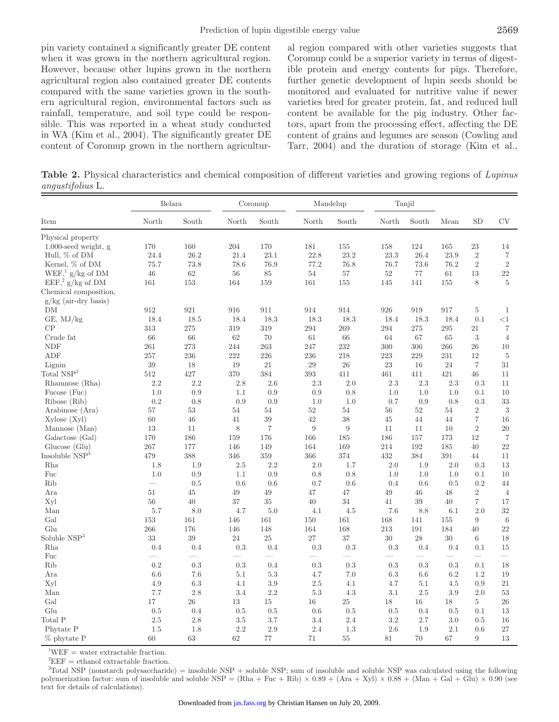pin variety contained a significantly greater DE content when it was grown in the northern agricultural region. However, because other lupins grown in the northern agricultural region also contained greater DE contents compared with the same varieties grown in the southern agricultural region, environmental factors such as rainfall, temperature, and soil type could be responsible. This was reported in a wheat study conducted in WA (Kim et al., 2004). The significantly greater DE content of Coromup grown in the northern agricultur-

al region compared with other varieties suggests that Coromup could be a superior variety in terms of digestible protein and energy contents for pigs. Therefore, further genetic development of lupin seeds should be monitored and evaluated for nutritive value if newer varieties bred for greater protein, fat, and reduced hull content be available for the pig industry. Other factors, apart from the processing effect, affecting the DE content of grains and legumes are season (Cowling and Tarr, 2004) and the duration of storage (Kim et al.,

**Table 2.** Physical characteristics and chemical composition of different varieties and growing regions of *Lupinus angustifolius* L.

|                                                 | Belara          |         |                          | Coromup                  |                | Mandelup         |         | Tanjil |                          |                |                   |
|-------------------------------------------------|-----------------|---------|--------------------------|--------------------------|----------------|------------------|---------|--------|--------------------------|----------------|-------------------|
| Item                                            | North           | South   | North                    | South                    | North          | South            | North   | South  | Mean                     | <b>SD</b>      | CV                |
| Physical property                               |                 |         |                          |                          |                |                  |         |        |                          |                |                   |
| $1,000$ -seed weight, g                         | 170             | 160     | 204                      | 170                      | 181            | 155              | 158     | 124    | 165                      | 23             | 14                |
| Hull, % of DM                                   | 24.4            | 26.2    | 21.4                     | 23.1                     | 22.8           | 23.2             | 23.3    | 26.4   | 23.9                     | $\sqrt{2}$     | $\overline{7}$    |
| Kernel, % of DM                                 | 75.7            | 73.8    | 78.6                     | 76.9                     | 77.2           | 76.8             | 76.7    | 73.6   | 76.2                     | $\sqrt{2}$     | $\sqrt{2}$        |
| $\text{WEF}, ^1\text{g/kg}$ of DM               | 46              | 62      | 56                       | 85                       | 54             | 57               | 52      | 77     | 61                       | 13             | 22                |
| $EEF, \frac{2}{3}$ g/kg of DM                   | 161             | 153     | 164                      | 159                      | 161            | 155              | 145     | 141    | 155                      | 8              | $5\,$             |
| Chemical composition,<br>$g/kg$ (air-dry basis) |                 |         |                          |                          |                |                  |         |        |                          |                |                   |
| $\rm DM$                                        | 912             | 921     | 916                      | 911                      | 914            | 914              | 926     | 919    | 917                      | $\rm 5$        | $\mathbf{1}$      |
| $GE$ , $MJ/kg$                                  | 18.4            | 18.5    | 18.4                     | 18.3                     | 18.3           | 18.3             | 18.4    | 18.3   | 18.4                     | 0.1            | $<$ 1             |
| CP                                              | 313             | 275     | 319                      | 319                      | 294            | 269              | 294     | 275    | 295                      | 21             | $\scriptstyle{7}$ |
| Crude fat                                       | 66              | 66      | 62                       | 70                       | 61             | 66               | 64      | 67     | 65                       | 3              | $\overline{4}$    |
| <b>NDF</b>                                      | 261             | 273     | 244                      | 263                      | 247            | 232              | 300     | 306    | 266                      | 26             | $10\,$            |
| ADF                                             | 257             | 236     | 222                      | 226                      | 236            | 218              | 223     | 229    | 231                      | 12             | $\overline{5}$    |
| Lignin                                          | $39\,$          | 18      | 19                       | 21                       | 29             | 26               | 23      | 16     | 24                       | $\overline{7}$ | 31                |
| Total $\ensuremath{\mathsf{NSP}}^3$             | 512             | 427     | 370                      | 384                      | 393            | 411              | 461     | 411    | 421                      | 46             | 11                |
| Rhamnose (Rha)                                  | 2.2             | 2.2     | 2.8                      | 2.6                      | 2.3            | 2.0              | 2.3     | 2.3    | 2.3                      | 0.3            | 11                |
| Fucose (Fuc)                                    | 1.0             | 0.9     | 1.1                      | 0.9                      | 0.9            | 0.8              | 1.0     | 1.0    | 1.0                      | 0.1            | 10                |
| Ribose (Rib)                                    | 0.2             | 0.8     | 0.9                      | 0.9                      | 1.0            | 1.0              | 0.7     | 0.9    | 0.8                      | 0.3            | 33                |
| Arabinose (Ara)                                 | 57              | 53      | 54                       | 54                       | 52             | 54               | 56      | 52     | 54                       | $\overline{2}$ | $\sqrt{3}$        |
| Xvlose (Xvl)                                    | 60              | 46      | 41                       | 39                       | 42             | 38               | 45      | 44     | 44                       | $\overline{7}$ | 16                |
| Mannose (Man)                                   | 13              | 11      | $\,$ $\,$                | $\scriptstyle{7}$        | $\overline{9}$ | $\boldsymbol{9}$ | 11      | 11     | 10                       | $\overline{2}$ | 20                |
| Galactose (Gal)                                 | 170             | 186     | 159                      | 176                      | 166            | 185              | 186     | 157    | 173                      | 12             | $\overline{7}$    |
| Glucose (Glu)                                   | 267             | 177     | 146                      | 149                      | 164            | 169              | 214     | 192    | 185                      | 40             | 22                |
| Insoluble $\text{NSP}^3$                        | 479             | 388     | $346\,$                  | 359                      | 366            | 374              | 432     | 384    | 391                      | 44             | 11                |
| Rha                                             | 1.8             | 1.9     | $2.5\,$                  | $2.2\,$                  | $2.0\,$        | 1.7              | 2.0     | 1.9    | 2.0                      | 0.3            | 13                |
| Fuc                                             | 1.0             | 0.9     | 1.1                      | 0.9                      | 0.8            | 0.8              | 1.0     | 1.0    | 1.0                      | 0.1            | 10                |
| Rib                                             | $\qquad \qquad$ | 0.5     | 0.6                      | 0.6                      | 0.7            | 0.6              | 0.4     | 0.6    | 0.5                      | 0.2            | 44                |
| Ara                                             | 51              | $45\,$  | 49                       | 49                       | 47             | 47               | 49      | 46     | 48                       | $\overline{2}$ | $\overline{4}$    |
| Xyl                                             | 56              | $40\,$  | 37                       | $35\,$                   | 40             | 34               | 41      | 39     | 40                       | $\overline{7}$ | 17                |
| Man                                             | 5.7             | 8.0     | 4.7                      | $5.0\,$                  | 4.1            | $4.5\,$          | 7.6     | 8.8    | 6.1                      | 2.0            | 32                |
| Gal                                             | 153             | 161     | 146                      | 161                      | 150            | 161              | 168     | 141    | 155                      | 9              | $6\phantom{.}6$   |
| Glu                                             | 266             | 176     | 146                      | 148                      | 164            | 168              | 213     | 191    | 184                      | 40             | 22                |
| Soluble $NSP3$                                  | 33              | $39\,$  | 24                       | 25                       | 27             | 37               | 30      | 28     | 30                       | 6              | 18                |
| Rha                                             | 0.4             | 0.4     | 0.3                      | 0.4                      | 0.3            | 0.3              | 0.3     | 0.4    | 0.4                      | 0.1            | 15                |
| Fuc                                             |                 |         | $\overline{\phantom{a}}$ | $\overline{\phantom{a}}$ |                |                  |         |        | $\overline{\phantom{0}}$ |                |                   |
| Rib                                             | 0.2             | 0.3     | 0.3                      | 0.4                      | 0.3            | 0.3              | 0.3     | 0.3    | 0.3                      | 0.1            | 18                |
| Ara                                             | $6.6\,$         | 7.6     | $5.1\,$                  | $5.3\,$                  | 4.7            | $7.0\,$          | $6.3\,$ | 6.6    | 6.2                      | 1.2            | 19                |
| Xyl                                             | 4.9             | 6.3     | 4.1                      | 3.9                      | 2.5            | 4.1              | 4.7     | 5.1    | 4.5                      | 0.9            | 21                |
| Man                                             | 7.7             | $2.8\,$ | 3.4                      | $2.2\,$                  | $5.3\,$        | 4.3              | 3.1     | 2.5    | 3.9                      | $2.0\,$        | 53                |
| Gal                                             | 17              | 26      | 13                       | 15                       | 16             | 25               | 18      | 16     | 18                       | 5              | 26                |
| Glu                                             | 0.5             | 0.4     | 0.5                      | 0.5                      | 0.6            | 0.5              | 0.5     | 0.4    | 0.5                      | 0.1            | 13                |
| Total P                                         | 2.5             | 2.8     | 3.5                      | 3.7                      | 3.4            | 2.4              | 3.2     | 2.7    | 3.0                      | 0.5            | 16                |
| Phytate P                                       | 1.5             | 1.8     | 2.2                      | 2.9                      | 2.4            | 1.3              | 2.6     | 1.9    | 2.1                      | 0.6            | 27                |
| % phytate P                                     | 60              | 63      | 62                       | 77                       | 71             | 55               | 81      | 70     | 67                       | 9              | 13                |

 ${}^{1}WEF =$  water extractable fraction.

 ${}^{2}EEF =$  ethanol extractable fraction.

 ${}^{3}$ Total NSP (nonstarch polysaccharide) = insoluble NSP + soluble NSP; sum of insoluble and soluble NSP was calculated using the following polymerization factor: sum of insoluble and soluble NSP =  $(Rha + Fuc + Rib) \times 0.89 + (Ara + Xyl) \times 0.88 + (Man + Gal + Glu) \times 0.90$  (see text for details of calculations).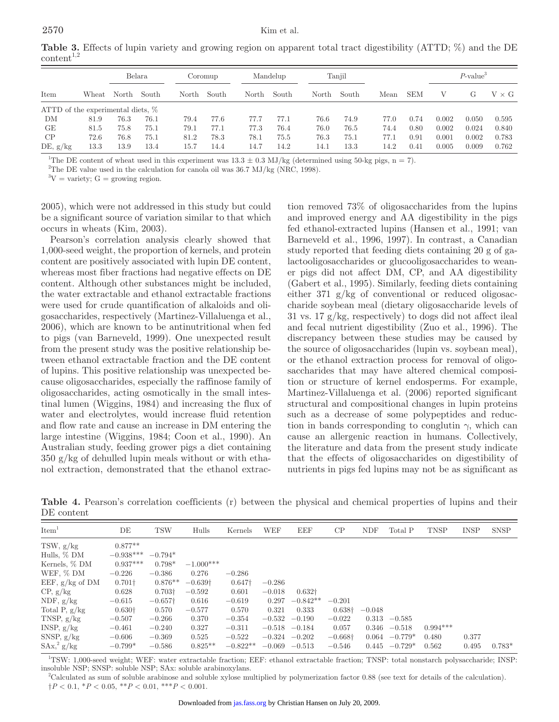|                                      |      |             | Belara |       | Coromup |       | Mandelup | Taniil |       |      |            | $P$ -value <sup>3</sup> |       |              |  |
|--------------------------------------|------|-------------|--------|-------|---------|-------|----------|--------|-------|------|------------|-------------------------|-------|--------------|--|
| Item                                 |      | Wheat North | South  | North | South   | North | South    | North  | South | Mean | <b>SEM</b> | V                       | G     | $V \times G$ |  |
| ATTD of the experimental diets, $\%$ |      |             |        |       |         |       |          |        |       |      |            |                         |       |              |  |
| DM                                   | 81.9 | 76.3        | 76.1   | 79.4  | 77.6    | 77.7  | 77.1     | 76.6   | 74.9  | 77.0 | 0.74       | 0.002                   | 0.050 | 0.595        |  |
| GE                                   | 81.5 | 75.8        | 75.1   | 79.1  | 77.1    | 77.3  | 76.4     | 76.0   | 76.5  | 74.4 | 0.80       | 0.002                   | 0.024 | 0.840        |  |
| CP                                   | 72.6 | 76.8        | 75.1   | 81.2  | 78.3    | 78.1  | 75.5     | 76.3   | 75.1  | 77.1 | 0.91       | 0.001                   | 0.002 | 0.783        |  |
| DE, $g/kg$                           | 13.3 | 13.9        | 13.4   | 15.7  | 14.4    | 14.7  | 14.2     | 14.1   | 13.3  | 14.2 | 0.41       | 0.005                   | 0.009 | 0.762        |  |

**Table 3.** Effects of lupin variety and growing region on apparent total tract digestibility (ATTD; %) and the DE  $\text{content}^{1,2}$ 

<sup>1</sup>The DE content of wheat used in this experiment was  $13.3 \pm 0.3$  MJ/kg (determined using 50-kg pigs, n = 7).

<sup>2</sup>The DE value used in the calculation for canola oil was  $36.7 \text{ MJ/kg}$  (NRC, 1998).

 ${}^{3}V$  = variety; G = growing region.

2005), which were not addressed in this study but could be a significant source of variation similar to that which occurs in wheats (Kim, 2003).

Pearson's correlation analysis clearly showed that 1,000-seed weight, the proportion of kernels, and protein content are positively associated with lupin DE content, whereas most fiber fractions had negative effects on DE content. Although other substances might be included, the water extractable and ethanol extractable fractions were used for crude quantification of alkaloids and oligosaccharides, respectively (Martinez-Villaluenga et al., 2006), which are known to be antinutritional when fed to pigs (van Barneveld, 1999). One unexpected result from the present study was the positive relationship between ethanol extractable fraction and the DE content of lupins. This positive relationship was unexpected because oligosaccharides, especially the raffinose family of oligosaccharides, acting osmotically in the small intestinal lumen (Wiggins, 1984) and increasing the flux of water and electrolytes, would increase fluid retention and flow rate and cause an increase in DM entering the large intestine (Wiggins, 1984; Coon et al., 1990). An Australian study, feeding grower pigs a diet containing 350 g/kg of dehulled lupin meals without or with ethanol extraction, demonstrated that the ethanol extraction removed 73% of oligosaccharides from the lupins and improved energy and AA digestibility in the pigs fed ethanol-extracted lupins (Hansen et al., 1991; van Barneveld et al., 1996, 1997). In contrast, a Canadian study reported that feeding diets containing 20 g of galactooligosaccharides or glucooligosaccharides to weaner pigs did not affect DM, CP, and AA digestibility (Gabert et al., 1995). Similarly, feeding diets containing either 371 g/kg of conventional or reduced oligosaccharide soybean meal (dietary oligosaccharide levels of 31 vs. 17 g/kg, respectively) to dogs did not affect ileal and fecal nutrient digestibility (Zuo et al., 1996). The discrepancy between these studies may be caused by the source of oligosaccharides (lupin vs. soybean meal), or the ethanol extraction process for removal of oligosaccharides that may have altered chemical composition or structure of kernel endosperms. For example, Martinez-Villaluenga et al. (2006) reported significant structural and compositional changes in lupin proteins such as a decrease of some polypeptides and reduction in bands corresponding to conglutin  $\gamma$ , which can cause an allergenic reaction in humans. Collectively, the literature and data from the present study indicate that the effects of oligosaccharides on digestibility of nutrients in pigs fed lupins may not be as significant as

**Table 4.** Pearson's correlation coefficients (r) between the physical and chemical properties of lupins and their DE content

| Item <sup>1</sup>        | DE                 | <b>TSW</b>      | Hulls           | Kernels        | <b>WEF</b>       | EEF                | CP              | <b>NDF</b> | Total P   | <b>TNSP</b> | <b>INSP</b> | <b>SNSP</b> |
|--------------------------|--------------------|-----------------|-----------------|----------------|------------------|--------------------|-----------------|------------|-----------|-------------|-------------|-------------|
| TSW, g/kg                | $0.877**$          |                 |                 |                |                  |                    |                 |            |           |             |             |             |
| Hulls, % DM              | $-0.938***$        | $-0.794*$       |                 |                |                  |                    |                 |            |           |             |             |             |
| Kernels, % DM            | $0.937***$         | $0.798*$        | $-1.000***$     |                |                  |                    |                 |            |           |             |             |             |
| WEF, % DM                | $-0.226$           | $-0.386$        | 0.276           | $-0.286$       |                  |                    |                 |            |           |             |             |             |
| EEF, $g/kg$ of DM        | $0.701\dagger$     | $0.876**$       | $-0.639\dagger$ | $0.647\dagger$ | $-0.286$         |                    |                 |            |           |             |             |             |
| CP, g/kg                 | 0.628              | $0.703\dagger$  | $-0.592$        | 0.601          | $-0.018$         | 0.632 <sup>†</sup> |                 |            |           |             |             |             |
| NDF, $g/kg$              | $-0.615$           | $-0.657\dagger$ | 0.616           | $-0.619$       | 0.297            | $-0.842**$         | $-0.201$        |            |           |             |             |             |
| Total P, $g/kg$          | 0.630 <sup>†</sup> | 0.570           | $-0.577$        | 0.570          | 0.321            | 0.333              | $0.638\dagger$  | $-0.048$   |           |             |             |             |
| TNSP, $g/kg$             | $-0.507$           | $-0.266$        | 0.370           | $-0.354$       | $-0.532$         | $-0.190$           | $-0.022$        | 0.313      | $-0.585$  |             |             |             |
| INSP, $g/kg$             | $-0.461$           | $-0.240$        | 0.327           | $-0.311$       | $-0.518 - 0.184$ |                    | 0.057           | 0.346      | $-0.518$  | $0.994***$  |             |             |
| SNSP, $g/kg$             | $-0.606$           | $-0.369$        | 0.525           | $-0.522$       |                  | $-0.324 -0.202$    | $-0.668\dagger$ | 0.064      | $-0.779*$ | 0.480       | 0.377       |             |
| $S Ax, \frac{2}{3} g/kg$ | $-0.799*$          | $-0.586$        | $0.825**$       | $-0.822**$     | $-0.069$         | $-0.513$           | $-0.546$        | 0.445      | $-0.729*$ | 0.562       | 0.495       | $0.783*$    |

1 TSW: 1,000-seed weight; WEF: water extractable fraction; EEF: ethanol extractable fraction; TNSP: total nonstarch polysaccharide; INSP: insoluble NSP; SNSP: soluble NSP; SAx: soluble arabinoxylans.

<sup>2</sup>Calculated as sum of soluble arabinose and soluble xylose multiplied by polymerization factor 0.88 (see text for details of the calculation). †*P* < 0.1, \**P* < 0.05, \*\**P* < 0.01, \*\*\**P* < 0.001.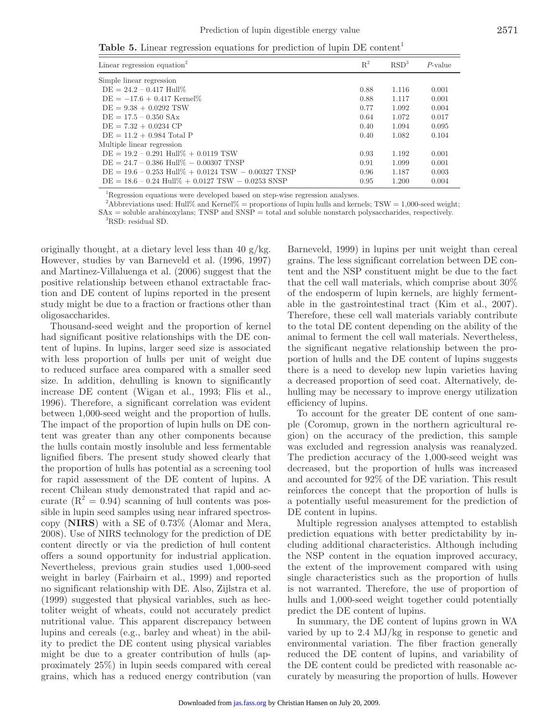**Table 5.** Linear regression equations for prediction of lupin DE content<sup>1</sup>

| Linear regression equation <sup>2</sup>               | $R^2$ | RSD <sup>3</sup> | $P$ -value |
|-------------------------------------------------------|-------|------------------|------------|
| Simple linear regression                              |       |                  |            |
| $DE = 24.2 - 0.417$ Hull%                             | 0.88  | 1.116            | 0.001      |
| $DE = -17.6 + 0.417$ Kernel%                          | 0.88  | 1.117            | 0.001      |
| $DE = 9.38 + 0.0292$ TSW                              | 0.77  | 1.092            | 0.004      |
| $DE = 17.5 - 0.350$ SA <sub>x</sub>                   | 0.64  | 1.072            | 0.017      |
| $DE = 7.32 + 0.0234$ CP                               | 0.40  | 1.094            | 0.095      |
| $DE = 11.2 + 0.984$ Total P                           | 0.40  | 1.082            | 0.104      |
| Multiple linear regression                            |       |                  |            |
| $DE = 19.2 - 0.291$ Hull% + 0.0119 TSW                | 0.93  | 1.192            | 0.001      |
| $DE = 24.7 - 0.386$ Hull% $- 0.00307$ TNSP            | 0.91  | 1.099            | 0.001      |
| $DE = 19.6 - 0.253$ Hull% + 0.0124 TSW - 0.00327 TNSP | 0.96  | 1.187            | 0.003      |
| $DE = 18.6 - 0.24$ Hull% + 0.0127 TSW - 0.0253 SNSP   | 0.95  | 1.200            | 0.004      |

<sup>1</sup>Regression equations were developed based on step-wise regression analyses.

<sup>2</sup>Abbreviations used: Hull% and Kernel% = proportions of lupin hulls and kernels; TSW = 1,000-seed weight;  $S Ax =$  soluble arabinoxylans; TNSP and  $SNSP =$  total and soluble nonstarch polysaccharides, respectively. 3 RSD: residual SD.

originally thought, at a dietary level less than 40 g/kg. However, studies by van Barneveld et al. (1996, 1997) and Martinez-Villaluenga et al. (2006) suggest that the positive relationship between ethanol extractable fraction and DE content of lupins reported in the present study might be due to a fraction or fractions other than oligosaccharides.

Thousand-seed weight and the proportion of kernel had significant positive relationships with the DE content of lupins. In lupins, larger seed size is associated with less proportion of hulls per unit of weight due to reduced surface area compared with a smaller seed size. In addition, dehulling is known to significantly increase DE content (Wigan et al., 1993; Flis et al., 1996). Therefore, a significant correlation was evident between 1,000-seed weight and the proportion of hulls. The impact of the proportion of lupin hulls on DE content was greater than any other components because the hulls contain mostly insoluble and less fermentable lignified fibers. The present study showed clearly that the proportion of hulls has potential as a screening tool for rapid assessment of the DE content of lupins. A recent Chilean study demonstrated that rapid and accurate  $(R^2 = 0.94)$  scanning of hull contents was possible in lupin seed samples using near infrared spectroscopy (**NIRS**) with a SE of 0.73% (Alomar and Mera, 2008). Use of NIRS technology for the prediction of DE content directly or via the prediction of hull content offers a sound opportunity for industrial application. Nevertheless, previous grain studies used 1,000-seed weight in barley (Fairbairn et al., 1999) and reported no significant relationship with DE. Also, Zijlstra et al. (1999) suggested that physical variables, such as hectoliter weight of wheats, could not accurately predict nutritional value. This apparent discrepancy between lupins and cereals (e.g., barley and wheat) in the ability to predict the DE content using physical variables might be due to a greater contribution of hulls (approximately 25%) in lupin seeds compared with cereal grains, which has a reduced energy contribution (van Barneveld, 1999) in lupins per unit weight than cereal grains. The less significant correlation between DE content and the NSP constituent might be due to the fact that the cell wall materials, which comprise about 30% of the endosperm of lupin kernels, are highly fermentable in the gastrointestinal tract (Kim et al., 2007). Therefore, these cell wall materials variably contribute to the total DE content depending on the ability of the animal to ferment the cell wall materials. Nevertheless, the significant negative relationship between the proportion of hulls and the DE content of lupins suggests there is a need to develop new lupin varieties having a decreased proportion of seed coat. Alternatively, dehulling may be necessary to improve energy utilization efficiency of lupins.

To account for the greater DE content of one sample (Coromup, grown in the northern agricultural region) on the accuracy of the prediction, this sample was excluded and regression analysis was reanalyzed. The prediction accuracy of the 1,000-seed weight was decreased, but the proportion of hulls was increased and accounted for 92% of the DE variation. This result reinforces the concept that the proportion of hulls is a potentially useful measurement for the prediction of DE content in lupins.

Multiple regression analyses attempted to establish prediction equations with better predictability by including additional characteristics. Although including the NSP content in the equation improved accuracy, the extent of the improvement compared with using single characteristics such as the proportion of hulls is not warranted. Therefore, the use of proportion of hulls and 1,000-seed weight together could potentially predict the DE content of lupins.

In summary, the DE content of lupins grown in WA varied by up to 2.4 MJ/kg in response to genetic and environmental variation. The fiber fraction generally reduced the DE content of lupins, and variability of the DE content could be predicted with reasonable accurately by measuring the proportion of hulls. However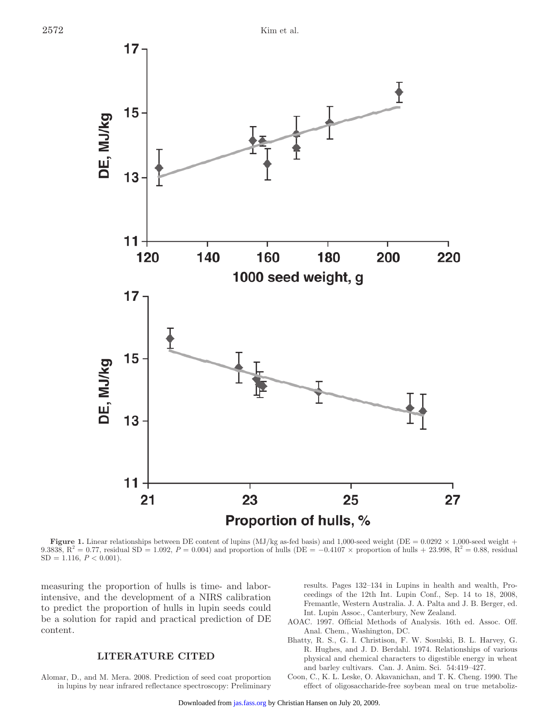

**Figure 1.** Linear relationships between DE content of lupins (MJ/kg as-fed basis) and 1,000-seed weight (DE =  $0.0292 \times 1,000$ -seed weight + 9.3838,  $R^2 = 0.77$ , residual SD = 1.092,  $P = 0.004$ ) and proportion of hulls (DE =  $-0.4107 \times$  proportion of hulls + 23.998,  $R^2 = 0.88$ , residual  $SD = 1.116, P < 0.001$ .

measuring the proportion of hulls is time- and laborintensive, and the development of a NIRS calibration to predict the proportion of hulls in lupin seeds could be a solution for rapid and practical prediction of DE content.

# **LITERATURE CITED**

Alomar, D., and M. Mera. 2008. Prediction of seed coat proportion in lupins by near infrared reflectance spectroscopy: Preliminary results. Pages 132–134 in Lupins in health and wealth, Proceedings of the 12th Int. Lupin Conf., Sep. 14 to 18, 2008, Fremantle, Western Australia. J. A. Palta and J. B. Berger, ed. Int. Lupin Assoc., Canterbury, New Zealand.

- AOAC. 1997. Official Methods of Analysis. 16th ed. Assoc. Off. Anal. Chem., Washington, DC.
- Bhatty, R. S., G. I. Christison, F. W. Sosulski, B. L. Harvey, G. R. Hughes, and J. D. Berdahl. 1974. Relationships of various physical and chemical characters to digestible energy in wheat and barley cultivars. Can. J. Anim. Sci. 54:419–427.
- Coon, C., K. L. Leske, O. Akavanichan, and T. K. Cheng. 1990. The effect of oligosaccharide-free soybean meal on true metaboliz-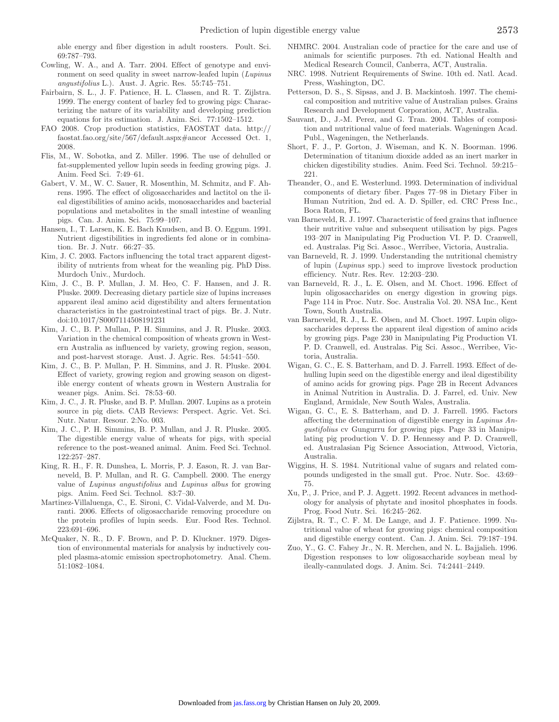able energy and fiber digestion in adult roosters. Poult. Sci. 69:787–793.

- Cowling, W. A., and A. Tarr. 2004. Effect of genotype and environment on seed quality in sweet narrow-leafed lupin (*Lupinus angustifolius* L.). Aust. J. Agric. Res. 55:745–751.
- Fairbairn, S. L., J. F. Patience, H. L. Classen, and R. T. Zijlstra. 1999. The energy content of barley fed to growing pigs: Characterizing the nature of its variability and developing prediction equations for its estimation. J. Anim. Sci. 77:1502–1512.
- FAO 2008. Crop production statistics, FAOSTAT data. http:// faostat.fao.org/site/567/default.aspx#ancor Accessed Oct. 1, 2008.
- Flis, M., W. Sobotka, and Z. Miller. 1996. The use of dehulled or fat-supplemented yellow lupin seeds in feeding growing pigs. J. Anim. Feed Sci. 7:49–61.
- Gabert, V. M., W. C. Sauer, R. Mosenthin, M. Schmitz, and F. Ahrens. 1995. The effect of oligosaccharides and lactitol on the ileal digestibilities of amino acids, monosaccharides and bacterial populations and metabolites in the small intestine of weanling pigs. Can. J. Anim. Sci. 75:99–107.
- Hansen, I., T. Larsen, K. E. Bach Knudsen, and B. O. Eggum. 1991. Nutrient digestibilities in ingredients fed alone or in combination. Br. J. Nutr. 66:27–35.
- Kim, J. C. 2003. Factors influencing the total tract apparent digestibility of nutrients from wheat for the weanling pig. PhD Diss. Murdoch Univ., Murdoch.
- Kim, J. C., B. P. Mullan, J. M. Heo, C. F. Hansen, and J. R. Pluske. 2009. Decreasing dietary particle size of lupins increases apparent ileal amino acid digestibility and alters fermentation characteristics in the gastrointestinal tract of pigs. Br. J. Nutr. doi:10.1017/S0007114508191231
- Kim, J. C., B. P. Mullan, P. H. Simmins, and J. R. Pluske. 2003. Variation in the chemical composition of wheats grown in Western Australia as influenced by variety, growing region, season, and post-harvest storage. Aust. J. Agric. Res. 54:541–550.
- Kim, J. C., B. P. Mullan, P. H. Simmins, and J. R. Pluske. 2004. Effect of variety, growing region and growing season on digestible energy content of wheats grown in Western Australia for weaner pigs. Anim. Sci. 78:53–60.
- Kim, J. C., J. R. Pluske, and B. P. Mullan. 2007. Lupins as a protein source in pig diets. CAB Reviews: Perspect. Agric. Vet. Sci. Nutr. Natur. Resour. 2:No. 003.
- Kim, J. C., P. H. Simmins, B. P. Mullan, and J. R. Pluske. 2005. The digestible energy value of wheats for pigs, with special reference to the post-weaned animal. Anim. Feed Sci. Technol. 122:257–287.
- King, R. H., F. R. Dunshea, L. Morris, P. J. Eason, R. J. van Barneveld, B. P. Mullan, and R. G. Campbell. 2000. The energy value of *Lupinus angustifolius* and *Lupinus albus* for growing pigs. Anim. Feed Sci. Technol. 83:7–30.
- Martinez-Villaluenga, C., E. Sironi, C. Vidal-Valverde, and M. Duranti. 2006. Effects of oligosaccharide removing procedure on the protein profiles of lupin seeds. Eur. Food Res. Technol. 223:691–696.
- McQuaker, N. R., D. F. Brown, and P. D. Kluckner. 1979. Digestion of environmental materials for analysis by inductively coupled plasma-atomic emission spectrophotometry. Anal. Chem. 51:1082–1084.
- NHMRC. 2004. Australian code of practice for the care and use of animals for scientific purposes. 7th ed. National Health and Medical Research Council, Canberra, ACT, Australia.
- NRC. 1998. Nutrient Requirements of Swine. 10th ed. Natl. Acad. Press, Washington, DC.
- Petterson, D. S., S. Sipsas, and J. B. Mackintosh. 1997. The chemical composition and nutritive value of Australian pulses. Grains Research and Development Corporation, ACT, Australia.
- Sauvant, D., J.-M. Perez, and G. Tran. 2004. Tables of composition and nutritional value of feed materials. Wageningen Acad. Publ., Wageningen, the Netherlands.
- Short, F. J., P. Gorton, J. Wiseman, and K. N. Boorman. 1996. Determination of titanium dioxide added as an inert marker in chicken digestibility studies. Anim. Feed Sci. Technol. 59:215– 221.
- Theander, O., and E. Westerlund. 1993. Determination of individual components of dietary fiber. Pages 77–98 in Dietary Fiber in Human Nutrition, 2nd ed. A. D. Spiller, ed. CRC Press Inc., Boca Raton, FL.
- van Barneveld, R. J. 1997. Characteristic of feed grains that influence their nutritive value and subsequent utilisation by pigs. Pages 193–207 in Manipulating Pig Production VI. P. D. Cranwell, ed. Australas. Pig Sci. Assoc., Werribee, Victoria, Australia.
- van Barneveld, R. J. 1999. Understanding the nutritional chemistry of lupin (*Lupinus* spp.) seed to improve livestock production efficiency. Nutr. Res. Rev. 12:203–230.
- van Barneveld, R. J., L. E. Olsen, and M. Choct. 1996. Effect of lupin oligosaccharides on energy digestion in growing pigs. Page 114 in Proc. Nutr. Soc. Australia Vol. 20. NSA Inc., Kent Town, South Australia.
- van Barneveld, R. J., L. E. Olsen, and M. Choct. 1997. Lupin oligosaccharides depress the apparent ileal digestion of amino acids by growing pigs. Page 230 in Manipulating Pig Production VI. P. D. Cranwell, ed. Australas. Pig Sci. Assoc., Werribee, Victoria, Australia.
- Wigan, G. C., E. S. Batterham, and D. J. Farrell. 1993. Effect of dehulling lupin seed on the digestible energy and ileal digestibility of amino acids for growing pigs. Page 2B in Recent Advances in Animal Nutrition in Australia. D. J. Farrel, ed. Univ. New England, Armidale, New South Wales, Australia.
- Wigan, G. C., E. S. Batterham, and D. J. Farrell. 1995. Factors affecting the determination of digestible energy in *Lupinus Angustifolius* cv Gungurru for growing pigs. Page 33 in Manipulating pig production V. D. P. Hennessy and P. D. Cranwell, ed. Australasian Pig Science Association, Attwood, Victoria, Australia.
- Wiggins, H. S. 1984. Nutritional value of sugars and related compounds undigested in the small gut. Proc. Nutr. Soc. 43:69– 75.
- Xu, P., J. Price, and P. J. Aggett. 1992. Recent advances in methodology for analysis of phytate and inositol phosphates in foods. Prog. Food Nutr. Sci. 16:245–262.
- Zijlstra, R. T., C. F. M. De Lange, and J. F. Patience. 1999. Nutritional value of wheat for growing pigs: chemical composition and digestible energy content. Can. J. Anim. Sci. 79:187–194.
- Zuo, Y., G. C. Fahey Jr., N. R. Merchen, and N. L. Bajjalieh. 1996. Digestion responses to low oligosaccharide soybean meal by ileally-cannulated dogs. J. Anim. Sci. 74:2441–2449.